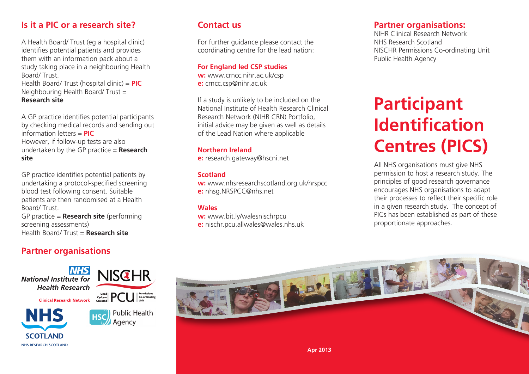### **Is it a PIC or a research site?**

A Health Board/ Trust (eg a hospital clinic) identifies potential patients and provides them with an information pack about a study taking place in a neighbouring Health Board/ Trust.

Health Board/ Trust (hospital clinic) = **PIC** Neighbouring Health Board/ Trust = **Research site**

A GP practice identifies potential participants by checking medical records and sending out information letters = **PIC**  However, if follow-up tests are also undertaken by the GP practice = **Research site**

GP practice identifies potential patients by undertaking a protocol-specified screening blood test following consent. Suitable patients are then randomised at a Health Board/ Trust.

GP practice = **Research site** (performing screening assessments) Health Board/ Trust = **Research site**

### **Partner organisations**

**National Institute for Health Research** 

**Clinical Research Network** 



# **NISCHR**  $\frac{C_{\text{Cylynu}}}{\text{Cylynu}}$   $\left|\text{PCL}\right|$   $\left|\text{Co-ordinating}\right|$

Agency

**Public Health** 



**w:** www.nhsresearchscotland.org.uk/nrspcc **e:** nhsg.NRSPCC@nhs.net

For further guidance please contact the coordinating centre for the lead nation:

If a study is unlikely to be included on the National Institute of Health Research Clinical Research Network (NIHR CRN) Portfolio, initial advice may be given as well as details

of the Lead Nation where applicable

**e:** research.gateway@hscni.net

**Northern Ireland**

**For England led CSP studies w:** www.crncc.nihr.ac.uk/csp **e:** crncc.csp@nihr.ac.uk

#### **Wales**

**Scotland**

**Contact us**

**w:** www.bit.ly/walesnischrpcu

**e:** nischr.pcu.allwales@wales.nhs.uk

#### **Partner organisations:**

NIHR Clinical Research Network NHS Research Scotland NISCHR Permissions Co-ordinating Unit Public Health Agency

# **Participant Identification Centres (PICS)**

All NHS organisations must give NHS permission to host a research study. The principles of good research governance encourages NHS organisations to adapt their processes to reflect their specific role in a given research study. The concept of PICs has been established as part of these proportionate approaches.